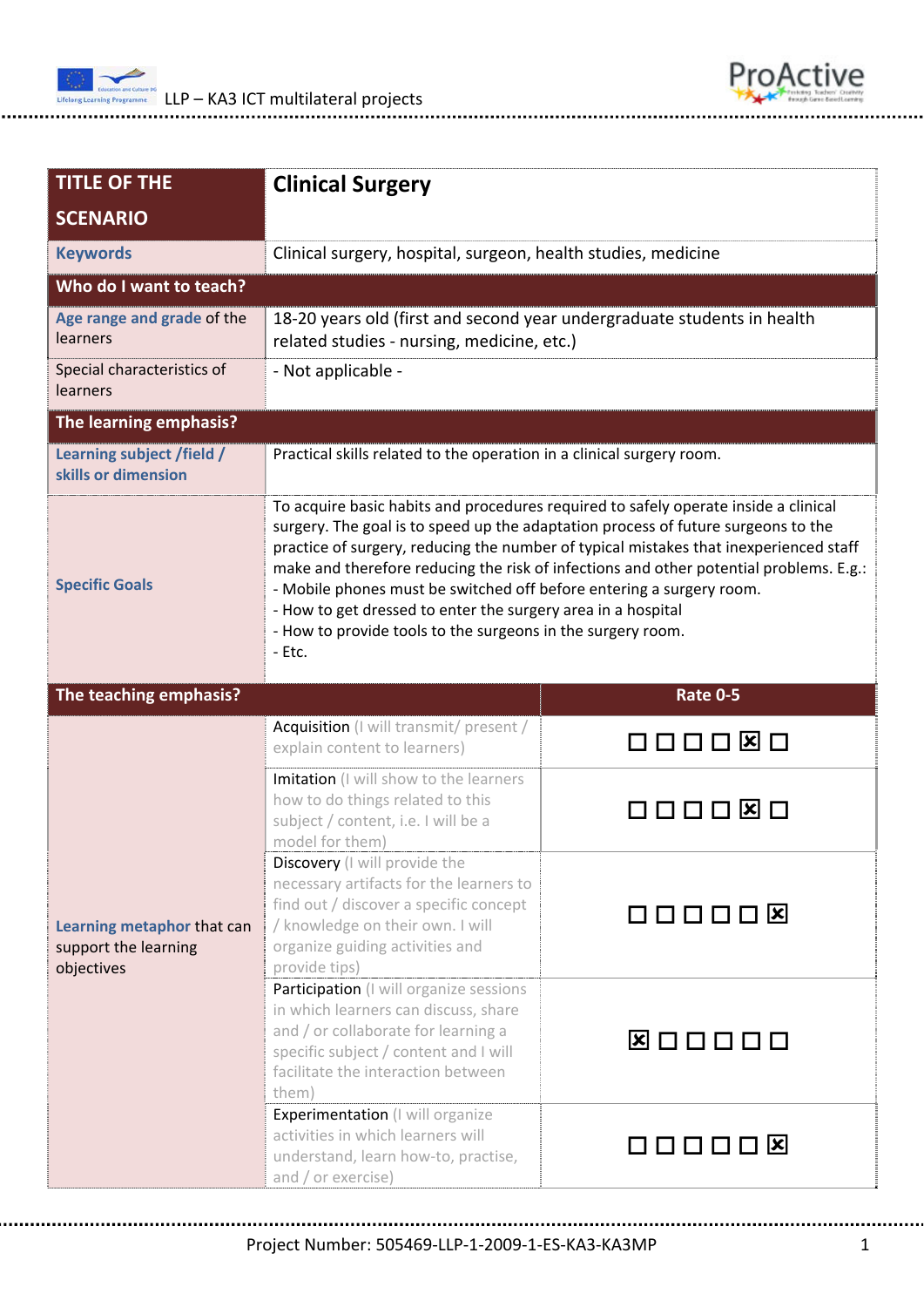



| <b>TITLE OF THE</b>                                | <b>Clinical Surgery</b>                                                                                                                                                                                                                                                                                                                                                                                                                                                                                                                                                      |                    |  |  |  |
|----------------------------------------------------|------------------------------------------------------------------------------------------------------------------------------------------------------------------------------------------------------------------------------------------------------------------------------------------------------------------------------------------------------------------------------------------------------------------------------------------------------------------------------------------------------------------------------------------------------------------------------|--------------------|--|--|--|
| <b>SCENARIO</b>                                    |                                                                                                                                                                                                                                                                                                                                                                                                                                                                                                                                                                              |                    |  |  |  |
| <b>Keywords</b>                                    | Clinical surgery, hospital, surgeon, health studies, medicine                                                                                                                                                                                                                                                                                                                                                                                                                                                                                                                |                    |  |  |  |
| Who do I want to teach?                            |                                                                                                                                                                                                                                                                                                                                                                                                                                                                                                                                                                              |                    |  |  |  |
| Age range and grade of the<br>learners             | 18-20 years old (first and second year undergraduate students in health<br>related studies - nursing, medicine, etc.)                                                                                                                                                                                                                                                                                                                                                                                                                                                        |                    |  |  |  |
| Special characteristics of<br>learners             | - Not applicable -                                                                                                                                                                                                                                                                                                                                                                                                                                                                                                                                                           |                    |  |  |  |
| The learning emphasis?                             |                                                                                                                                                                                                                                                                                                                                                                                                                                                                                                                                                                              |                    |  |  |  |
| Learning subject /field /<br>skills or dimension   | Practical skills related to the operation in a clinical surgery room.                                                                                                                                                                                                                                                                                                                                                                                                                                                                                                        |                    |  |  |  |
| <b>Specific Goals</b>                              | To acquire basic habits and procedures required to safely operate inside a clinical<br>surgery. The goal is to speed up the adaptation process of future surgeons to the<br>practice of surgery, reducing the number of typical mistakes that inexperienced staff<br>make and therefore reducing the risk of infections and other potential problems. E.g.:<br>- Mobile phones must be switched off before entering a surgery room.<br>- How to get dressed to enter the surgery area in a hospital<br>- How to provide tools to the surgeons in the surgery room.<br>- Etc. |                    |  |  |  |
|                                                    |                                                                                                                                                                                                                                                                                                                                                                                                                                                                                                                                                                              |                    |  |  |  |
| The teaching emphasis?                             |                                                                                                                                                                                                                                                                                                                                                                                                                                                                                                                                                                              | <b>Rate 0-5</b>    |  |  |  |
|                                                    | Acquisition (I will transmit/ present /<br>explain content to learners)                                                                                                                                                                                                                                                                                                                                                                                                                                                                                                      | 000000             |  |  |  |
|                                                    | Imitation (I will show to the learners<br>how to do things related to this<br>subject / content, i.e. I will be a<br>model for them)                                                                                                                                                                                                                                                                                                                                                                                                                                         | ⅂ℿℿℿ℞              |  |  |  |
| Learning metaphor that can<br>support the learning | <b>Discovery</b> (I will provide the<br>necessary artifacts for the learners to<br>find out / discover a specific concept<br>/ knowledge on their own. I will<br>organize guiding activities and<br>provide tips)                                                                                                                                                                                                                                                                                                                                                            | 000008             |  |  |  |
| objectives                                         | Participation (I will organize sessions<br>in which learners can discuss, share<br>and / or collaborate for learning a<br>specific subject / content and I will<br>facilitate the interaction between<br>them)                                                                                                                                                                                                                                                                                                                                                               | <b>Ø □ □ □ □ □</b> |  |  |  |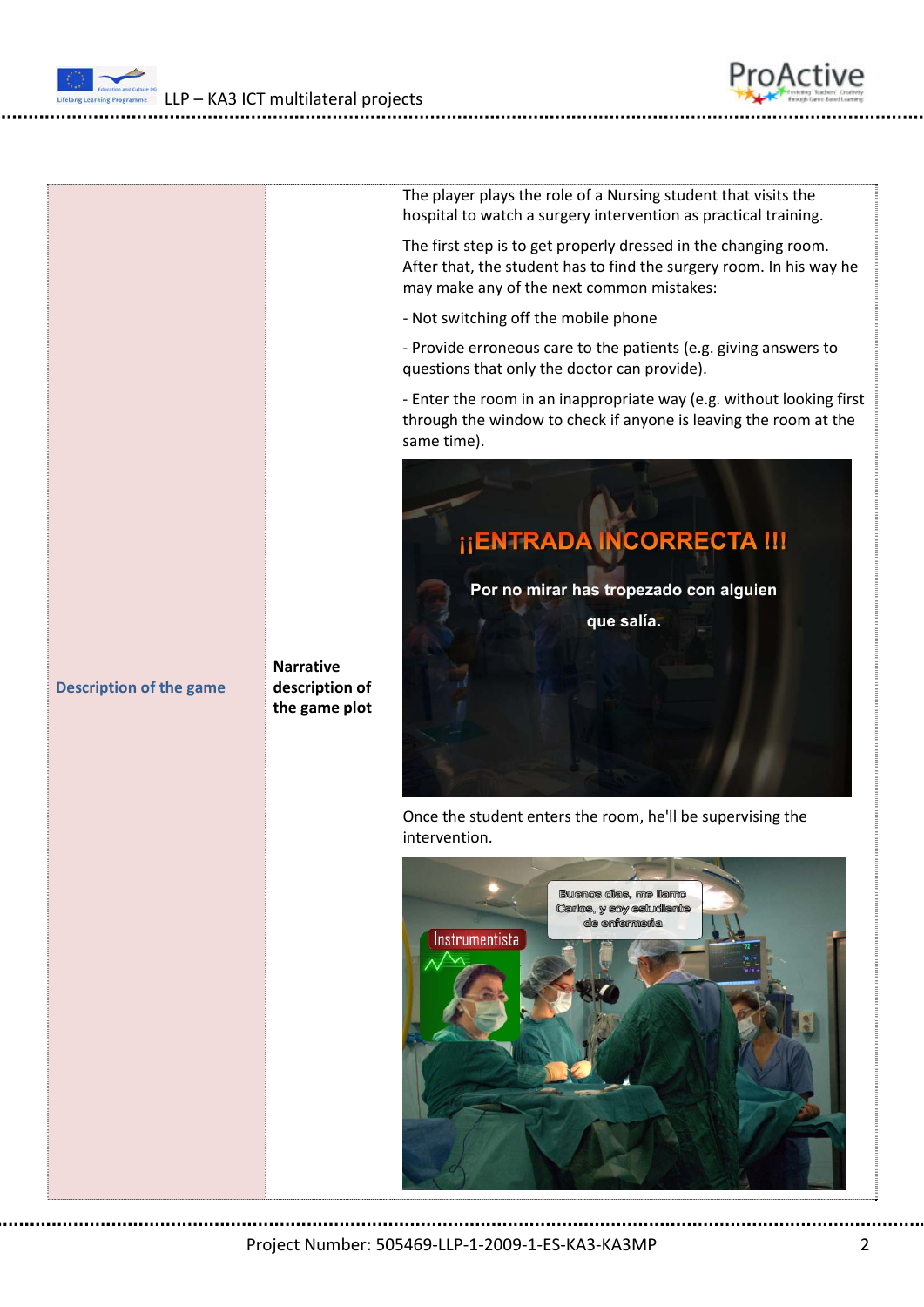LLP – KA3 ICT multilateral projects



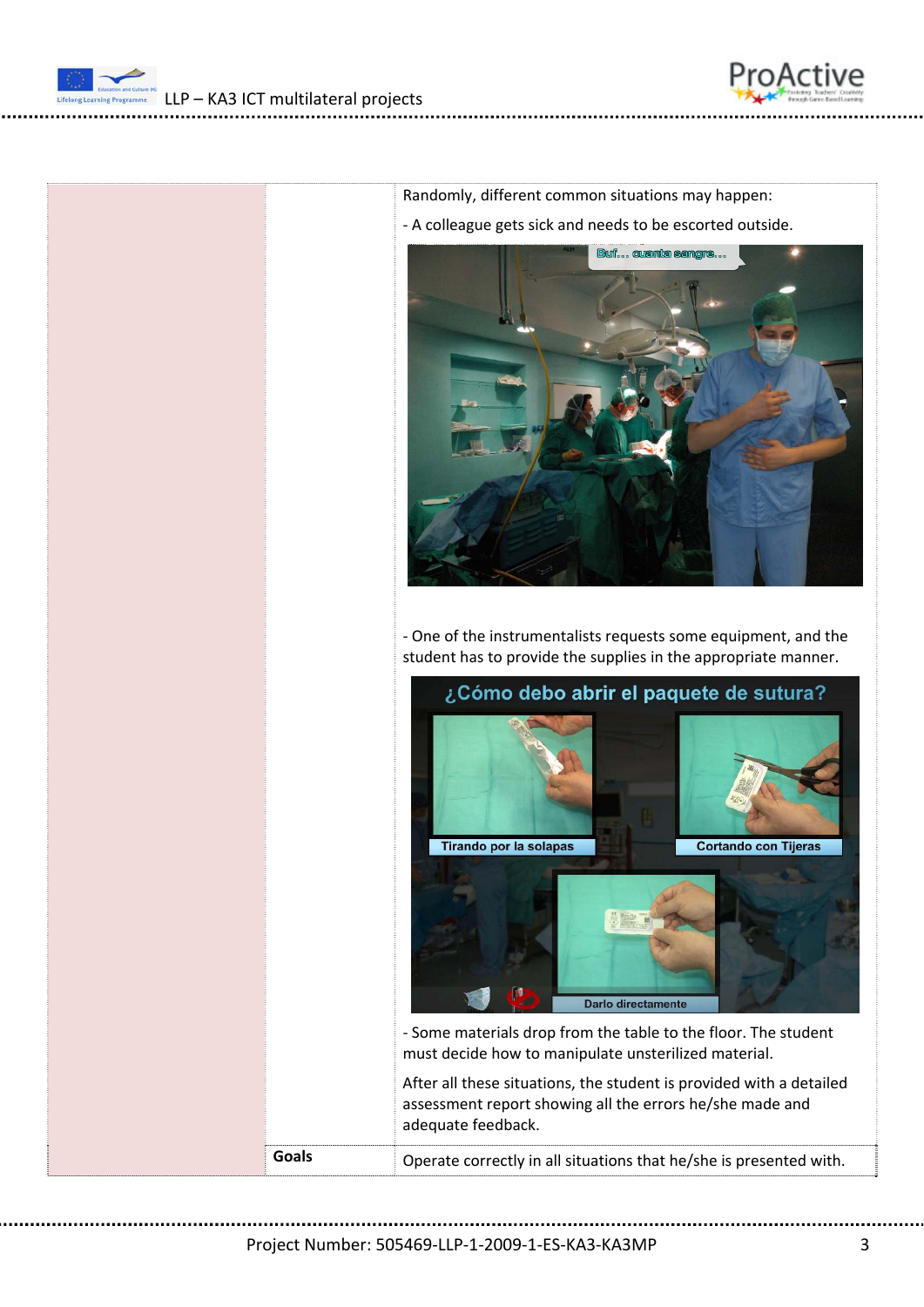





‐ One of the instrumentalists requests some equipment, and the student has to provide the supplies in the appropriate manner.

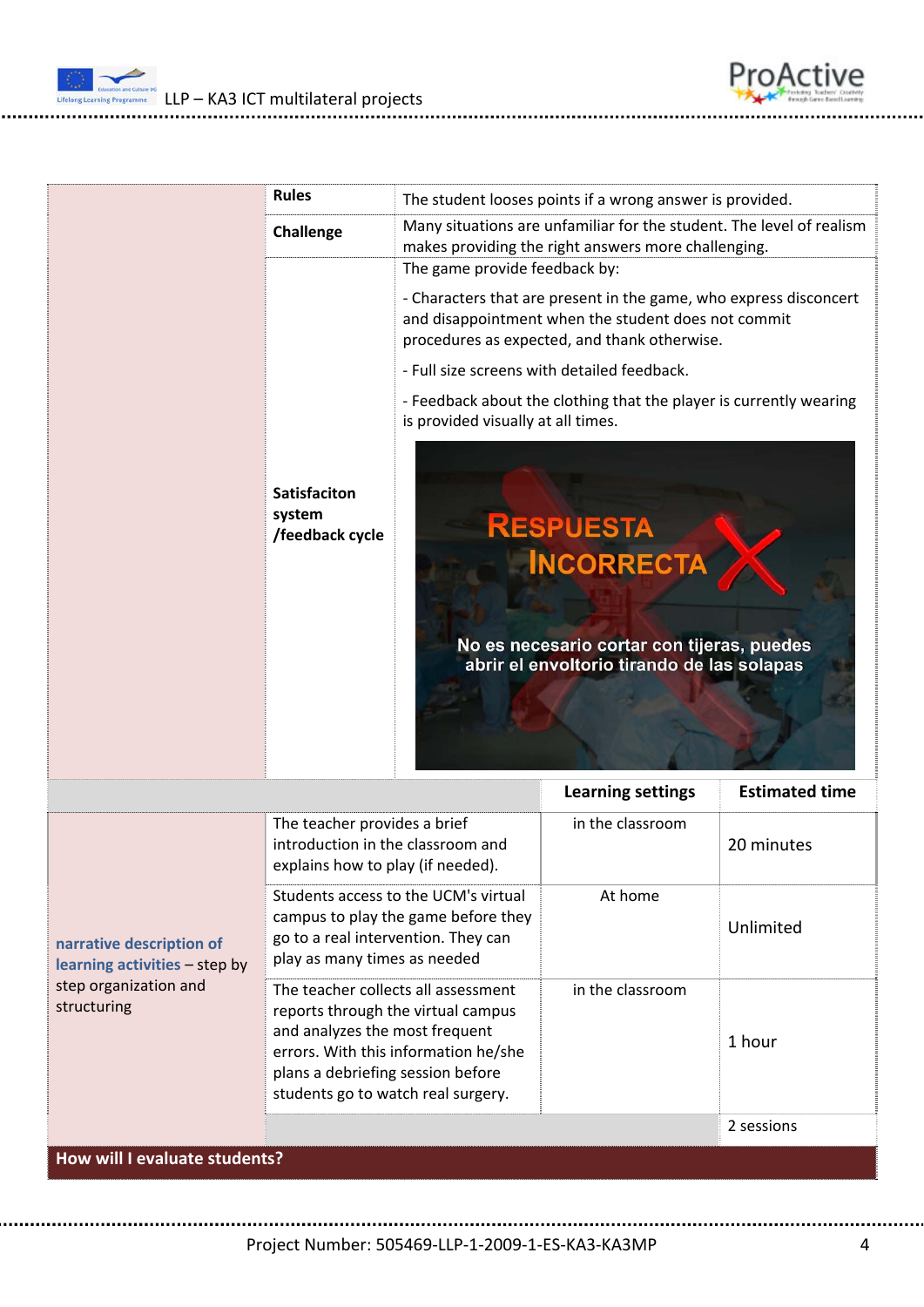

ProActive

|                                                           | <b>Rules</b>                                                                                              |                                                                                                                                                                                                           | The student looses points if a wrong answer is provided. |                       |
|-----------------------------------------------------------|-----------------------------------------------------------------------------------------------------------|-----------------------------------------------------------------------------------------------------------------------------------------------------------------------------------------------------------|----------------------------------------------------------|-----------------------|
|                                                           | Challenge                                                                                                 | Many situations are unfamiliar for the student. The level of realism<br>makes providing the right answers more challenging.                                                                               |                                                          |                       |
|                                                           |                                                                                                           | The game provide feedback by:<br>- Characters that are present in the game, who express disconcert<br>and disappointment when the student does not commit<br>procedures as expected, and thank otherwise. |                                                          |                       |
|                                                           |                                                                                                           | - Full size screens with detailed feedback.                                                                                                                                                               |                                                          |                       |
|                                                           |                                                                                                           | - Feedback about the clothing that the player is currently wearing<br>is provided visually at all times.                                                                                                  |                                                          |                       |
|                                                           | <b>Satisfaciton</b><br>system<br>/feedback cycle                                                          | <b>RESPUESTA</b><br><b>INCORRECTA</b><br>No es necesario cortar con tijeras, puedes<br>abrir el envoltorio tirando de las solapas                                                                         |                                                          |                       |
|                                                           |                                                                                                           |                                                                                                                                                                                                           |                                                          |                       |
|                                                           |                                                                                                           |                                                                                                                                                                                                           | <b>Learning settings</b>                                 | <b>Estimated time</b> |
|                                                           | The teacher provides a brief<br>introduction in the classroom and<br>explains how to play (if needed).    |                                                                                                                                                                                                           | in the classroom                                         | 20 minutes            |
| narrative description of<br>learning activities - step by | go to a real intervention. They can<br>play as many times as needed                                       | Students access to the UCM's virtual<br>campus to play the game before they                                                                                                                               | At home                                                  | Unlimited             |
| step organization and<br>structuring                      | and analyzes the most frequent<br>plans a debriefing session before<br>students go to watch real surgery. | The teacher collects all assessment<br>reports through the virtual campus<br>errors. With this information he/she                                                                                         | in the classroom                                         | 1 hour                |
|                                                           |                                                                                                           |                                                                                                                                                                                                           |                                                          | 2 sessions            |

Project Number: 505469‐LLP‐1‐2009‐1‐ES‐KA3‐KA3MP 4